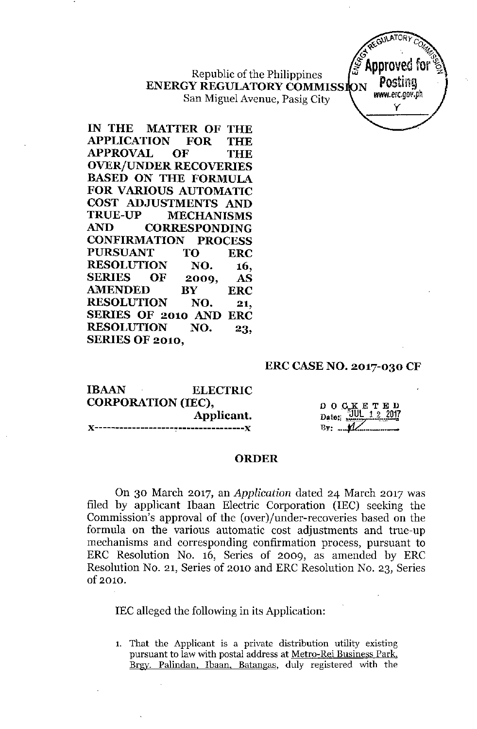Republic of the Philippines **ENERGY REGULATORY COMMISSION** San Miguel Avenue, Pasig City



**IN THE MATTER OF THE APPLICATION FOR THE APPROVAL OF THE OVER/UNDER RECOVERIES BASED ON THE FORMULA FOR VARIOUS AUTOMATIC COST ADJUSTMENTS AND TRUE-UP MECHANISMS AND CORRESPONDING CONFIRMATION PROCESS PURSUANT TO ERC RESOLUTION NO. 16, SERIES OF 2009, AS AMENDED BY ERC RESOLUTION NO. 21, SERIES OF 2010 AND ERC RESOLUTION NO. 23, SERIES OF 2010,**

#### **ERCCASENO. 2017-030 CF**

| <b>IBAAN</b><br>$\sim$    | <b>ELECTRIC</b> |  |  |  |
|---------------------------|-----------------|--|--|--|
| <b>CORPORATION (IEC),</b> |                 |  |  |  |
|                           | Applicant.      |  |  |  |
|                           |                 |  |  |  |

 $D$  O  $C_{\rm g}$ K E T Date: <u>JUL 1 2 2017</u> **By:**  $\mathcal{L}$ 

#### **ORDER**

On 30 March 2017, an *Application* dated 24 March 2017 was filed by applicant Ibaan Electric Corporation (IEC) seeking the Commission's approval of the (over)/under-recoveries based on the formula on the various automatic cost adjustments and true-up mechanisms and corresponding confirmation process, pursuant to ERC Resolution No. 16, Series of 2009, as amended by ERC Resolution No. 21, Series of 2010 and ERC Resolution No. 23, Series of 2010.

IEC alleged the following in its Application:

**1. That the Applicant is a private distribution utility existing pursuant to law with postal address at Metro-Rei Business Park. Brgy. Palindan. Ibaan, Batangas, duly registered with the**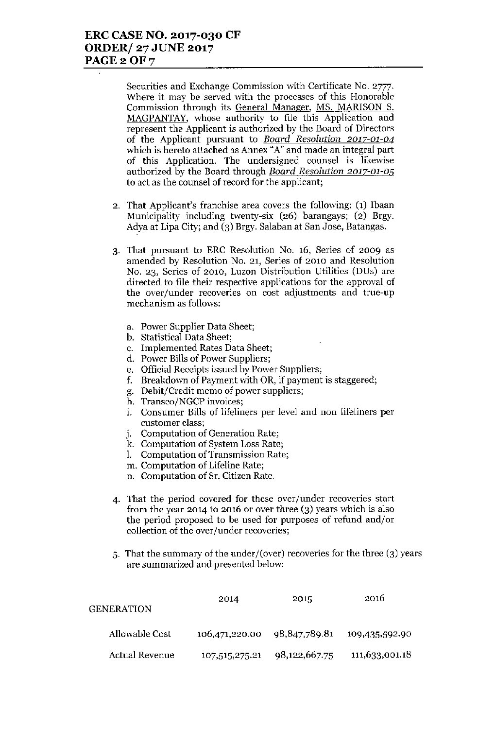Securities and Exchange Commission with Certificate No. 2777. Where it may be served with the processes of this Honorable Commission through its General Manager, MS. MARISON S. MAGPANTAY, whose authority to file this Application and represent the Applicant is authorized by the Board of Directors of the Applicant pursuant to *Board Resolution 2017-01-04* which is hereto attached as Annex "A" and made an integral part of this Application. The undersigned counsel is likewise authorized by the Board through *Board Resolution 2017-01-05* to act as the counsel of record for the applicant;

- 2. That Applicant's franchise area covers the following: (1) Ibaan Municipality including twenty-six (26) barangays; (2) Brgy. Adya at Lipa City; and (3) Brgy. Salaban at San Jose, Batangas.
- 3. That pursuant to ERe Resolution No. 16, Series of 2009 as amended by Resolution No. 21, Series of 2010 and Resolution No. 23, Series of 2010, Luzon Distribution Utilities (DUs) are directed to file their respective applications for the approval of the over/under recoveries on cost adjustments and true-up mechanism as follows:
	- a. Power Supplier Data Sheet;
	- b. Statistical Data Sheet;
	- c. Implemented Rates Data Sheet;
	- d. Power Bills of Power Suppliers;
	- e. Official Receipts issued by Power Suppliers;
	- f. Breakdown of Payment with OR, if payment is staggered;
	- g. Debit/Credit memo of power suppliers;
	- h. Transco/NGCP invoices;
	- 1. Consumer Bills of lifeliners per level and non lifeliners per customer class;
	- j. Computation of Generation Rate;
	- k. Computation of System Loss Rate;
	- l. Computation of Transmission Rate;
	- m. Computation of Lifeline Rate;
	- n. Computation of Sr. Citizen Rate.
- 4. That the period covered for these over/under recoveries start from the year 2014 to 2016 or over three (3) years which is also the period proposed to be used for purposes of refund and/or collection of the over/under recoveries;
- 5. That the summary of the under/(over) recoveries for the three  $(3)$  years are summarized and presented below:

| GENERATION     | 2014           | 2015          | 2016           |
|----------------|----------------|---------------|----------------|
| Allowable Cost | 106,471,220.00 | 98,847,789.81 | 109,435,592.90 |
| Actual Revenue | 107,515,275.21 | 98,122,667.75 | 111,633,001.18 |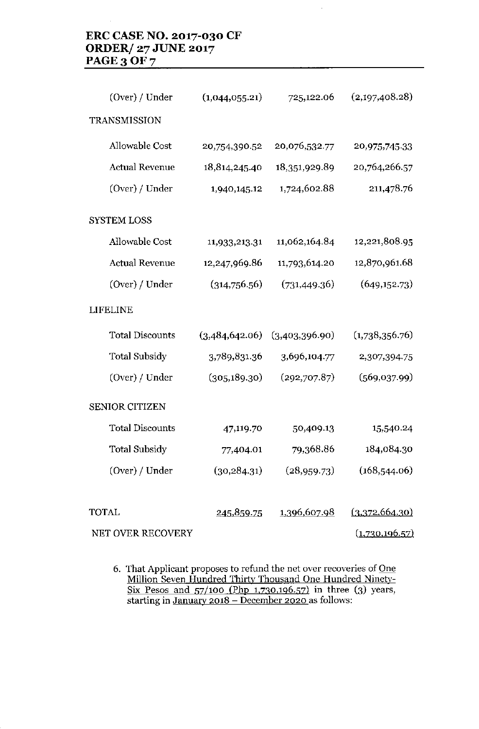# **ERC CASENO. 2017-030 CF ORDER/ 27 JUNE 2017 PAGE30F7**

| (Over) / Under         | (1,044,055.21) | 725,122.06     | (2,197,408.28) |
|------------------------|----------------|----------------|----------------|
| TRANSMISSION           |                |                |                |
| Allowable Cost         | 20,754,390.52  | 20,076,532.77  | 20,975,745,33  |
| <b>Actual Revenue</b>  | 18,814,245.40  | 18,351,929.89  | 20,764,266.57  |
| (Over) / Under         | 1,940,145.12   | 1,724,602.88   | 211,478.76     |
| <b>SYSTEM LOSS</b>     |                |                |                |
| <b>Allowable Cost</b>  | 11,933,213.31  | 11,062,164.84  | 12,221,808.95  |
| <b>Actual Revenue</b>  | 12,247,969.86  | 11,793,614.20  | 12,870,961.68  |
| (Over) / Under         | (314,756.56)   | (731, 449.36)  | (649, 152.73)  |
| <b>LIFELINE</b>        |                |                |                |
| <b>Total Discounts</b> | (3,484,642.06) | (3,403,396.90) | (1,738,356.76) |
| <b>Total Subsidy</b>   | 3,789,831.36   | 3,696,104.77   | 2,307,394.75   |
| (Over) / Under         | (305, 189.30)  | (292,707.87)   | (569,037.99)   |
| <b>SENIOR CITIZEN</b>  |                |                |                |
| <b>Total Discounts</b> | 47,119.70      | 50,409.13      | 15,540.24      |
| <b>Total Subsidy</b>   | 77,404.01      | 79,368.86      | 184,084.30     |
| (Over) / Under         | (30, 284.31)   | (28, 959.73)   | (168, 544.06)  |
|                        |                |                |                |
| TOTAL                  | 245,859.75     | 1,396,607.98   | (3,372,664.30) |
| NET OVER RECOVERY      |                |                | (1,730,196.57) |

**6. That Applicant proposes to refund the net over recoveries of One Million Seven Hundred Thirty Thousand One Hundred Ninetv-**<u>Six Pesos and 57/100 (Php 1,730,196.57)</u> in three (3) years, **starting in January 2018 - December 2020 as follows:**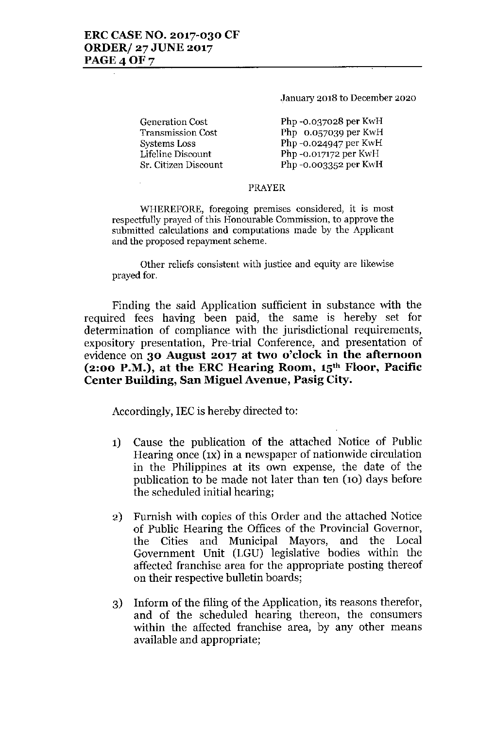**January 2018 to December 2020**

**Generation Cost Transmission Cost Systems Loss Lifeline Discount Sr. Citizen Discount** Php -0.037028 per KwH Php 0.057039 per KwH Php -0.024947 per KwH Php -0.017172 per KwH Php -0.003352 per KwH

### PRAYER

**WHEREFORE, foregoing premises considered, it is most respectfully prayed of this Honourable Commission, to approve the submitted calculations and computations made by the Applicant and the proposed repayment scheme.**

**Other** reliefs consistent with justice and equity are likewise prayed for.

Finding the said Application sufficient in substance with the required fees having been paid, the same is hereby set for determination of compliance with the jurisdictional requirements, expository presentation, Pre-trial Conference, and presentation of evidence on **30 August 2017 at two o'clock in the afternoon (2:00 P.M.), at the ERC Hearing Room, 15th Floor, Pacific Center Building, San Miguel Avenue, Pasig City.**

Accordingly, lEC is hereby directed to:

- **1)** Cause the publication of the attached Notice of Public Hearing once (IX) in a newspaper of nationwide circulation in the Philippines at its own expense, the date of the publication to be made not later than ten (10) days before the scheduled initial hearing;
- 2) Furnish with copies of this Order and the attached Notice of Public Hearing the Offices of the Provincial Governor, the Cities and Municipal Mayors, and the Local Government Unit (LGU) legislative bodies within the affected franchise area for the appropriate posting thereof on their respective bulletin boards;
- 3) Inform of the filing of the Application, its reasons therefor, and of the scheduled hearing thereon, the consumers within the affected franchise area, by any other means available and appropriate;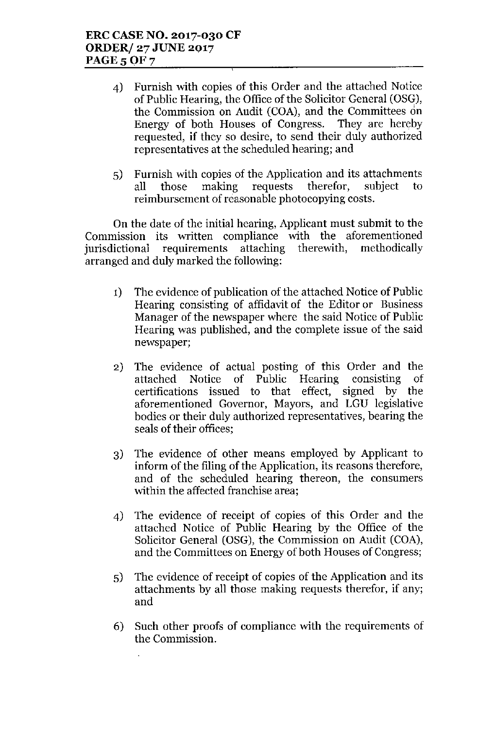- 4) Furnish with copies of this Order and the attached Notice of Public Hearing, the Office of the Solicitor General (OSG), the Commission on Audit (COA), and the Committees on Energy of both Houses of Congress. They are hereby requested, if they so desire, to send their duly authorized representatives at the scheduled hearing; and
- 5) Furnish with copies of the Application and its attachments all those making requests therefor, subject to reimbursement of reasonable photocopying costs.

On the date of the initial hearing, Applicant must submit to the Commission its written compliance with the aforementioned<br>iurisdictional requirements attaching therewith, methodically jurisdictional requirements attaching therewith, methodically arranged and duly marked the following:

- 1) The evidence of publication of the attached Notice of Public Hearing consisting of affidavit of the Editor or Business Manager of the newspaper where the said Notice of Public Hearing was published, and the complete issue of the said newspaper;
- 2) The evidence of actual posting of this Order and the attached Notice of Public Hearing consisting of certifications issued to that effect, signed by the aforementioned Governor, Mayors, and LGU legislative bodies or their duly authorized representatives, bearing the seals of their offices;
- 3) The evidence of other means employed by Applicant to inform of the filing of the Application, its reasons therefore, and of the scheduled hearing thereon, the consumers within the affected franchise area;
- 4) The evidence of receipt of copies of this Order and the attached Notice of Public Hearing by the Office of the Solicitor General (OSG), the Commission on Audit (COA), and the Committees on Energy of both Houses of Congress;
- 5) The evidence of receipt of copies of the Application and its attachments by all those making requests therefor, if any; and
- 6) Such other proofs of compliance with the requirements of the Commission.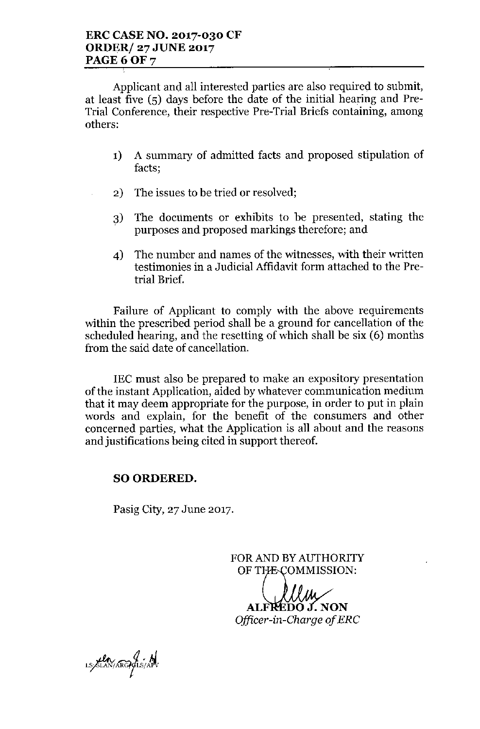Applicant and all interested parties are also required to submit, at least five (5) days before the date of the initial hearing and Pre-Trial Conference, their respective Pre-Trial Briefs containing, among others:

- 1) A summary of admitted facts and proposed stipulation of facts;
- 2) The issues to be tried or resolved;
- 3) The documents or exhibits to be presented, stating the purposes and proposed markings therefore; and
- 4) The number and names of the witnesses, with their written testimonies in a Judicial Affidavit form attached to the Pretrial Brief.

Failure of Applicant to comply with the above requirements within the prescribed period shall be a ground for cancellation of the scheduled hearing, and the resetting of which shall be six (6) months from the said date of cancellation.

IEC must also be prepared to make an expository presentation of the instant Application, aided by whatever communication medium that it may deem appropriate for the purpose, in order to put in plain words and explain, for the benefit of the consumers and other concerned parties, what the Application is all about and the reasons and justifications being cited in support thereof.

## SO ORDERED.

Pasig City, 27 June 2017.

FORAND BYAUTHORITY OF THE COMMISSION:

l Ih EDO J. NON Officer-in-Charge of ERC

LS/SLAN/ARGP/LS/APV